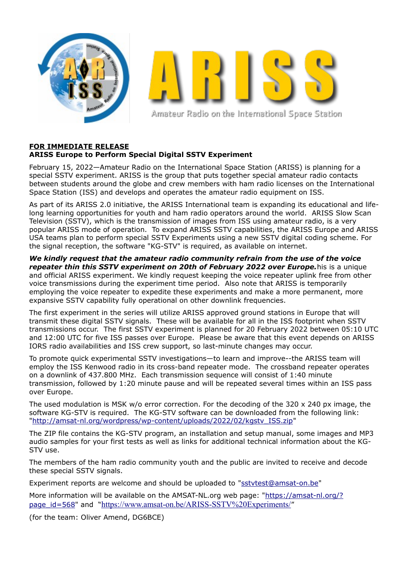

Amateur Radio on the International Space Station

## **FOR IMMEDIATE RELEASE ARISS Europe to Perform Special Digital SSTV Experiment**

February 15, 2022—Amateur Radio on the International Space Station (ARISS) is planning for a special SSTV experiment. ARISS is the group that puts together special amateur radio contacts between students around the globe and crew members with ham radio licenses on the International Space Station (ISS) and develops and operates the amateur radio equipment on ISS.

As part of its ARISS 2.0 initiative, the ARISS International team is expanding its educational and lifelong learning opportunities for youth and ham radio operators around the world. ARISS Slow Scan Television (SSTV), which is the transmission of images from ISS using amateur radio, is a very popular ARISS mode of operation. To expand ARISS SSTV capabilities, the ARISS Europe and ARISS USA teams plan to perform special SSTV Experiments using a new SSTV digital coding scheme. For the signal reception, the software "KG-STV" is required, as available on internet.

*We kindly request that the amateur radio community refrain from the use of the voice repeater thin this SSTV experiment on 20th of February 2022 over Europe.*his is a unique and official ARISS experiment. We kindly request keeping the voice repeater uplink free from other voice transmissions during the experiment time period. Also note that ARISS is temporarily employing the voice repeater to expedite these experiments and make a more permanent, more expansive SSTV capability fully operational on other downlink frequencies.

The first experiment in the series will utilize ARISS approved ground stations in Europe that will transmit these digital SSTV signals. These will be available for all in the ISS footprint when SSTV transmissions occur. The first SSTV experiment is planned for 20 February 2022 between 05:10 UTC and 12:00 UTC for five ISS passes over Europe. Please be aware that this event depends on ARISS IORS radio availabilities and ISS crew support, so last-minute changes may occur.

To promote quick experimental SSTV investigations—to learn and improve--the ARISS team will employ the ISS Kenwood radio in its cross-band repeater mode. The crossband repeater operates on a downlink of 437.800 MHz. Each transmission sequence will consist of 1:40 minute transmission, followed by 1:20 minute pause and will be repeated several times within an ISS pass over Europe.

The used modulation is MSK w/o error correction. For the decoding of the  $320 \times 240$  px image, the software KG-STV is required. The KG-STV software can be downloaded from the following link: ["http://amsat-nl.org/wordpress/wp-content/uploads/2022/02/kgstv\\_ISS.zip"](http://atpscan.global.hornetsecurity.com/index.php?atp_str=RbRuvk8Cl2Y8N46gAd2WJi4NPxa0_L27Tw4n8J9qBu_yFMAG9DhexEiKfb8inNu-1K7Z3roCyxkIoZLaYpuIitl71n5TmsLgkxfq4PWHkfxtoVFfEvmcxX0HT95MSIRsZOqPuQ7x7BZtXoVLhTfDKHp1zsM9pQBYKtqNv6ImpZzqr_yFV_VeXcuJxAGV58DExVV98Rb6MQO6EB_FkSf_4LrHH5Y9-CYB6JXpqCmkQQM5wj7EFtB7xKWSuLBoXAXy0K9XPKbfy8S3DYt0iJpk1l1YcEGh24ZNK8OY-D5CeeviYELbtbydUo7lfs2E9o_rLEo50M5h68IomtLwX30Gns08cbql9lwRIzo6I6nd6riAf4TT1SlpeCM6OiPtVXVCeFLO5MUK7YJjuv8v)

The ZIP file contains the KG-STV program, an installation and setup manual, some images and MP3 audio samples for your first tests as well as links for additional technical information about the KG-STV use.

The members of the ham radio community youth and the public are invited to receive and decode these special SSTV signals.

Experiment reports are welcome and should be uploaded to ["sstvtest@amsat-on.be"](mailto:sstvtest@amsat-on.be)

More information will be available on the AMSAT-NL.org web page: ["https://amsat-nl.org/?](https://amsat-nl.org/?page_id=568) [page\\_id=568"](https://amsat-nl.org/?page_id=568) and "<https://www.amsat-on.be/ARISS-SSTV%20Experiments/>"

(for the team: Oliver Amend, DG6BCE)